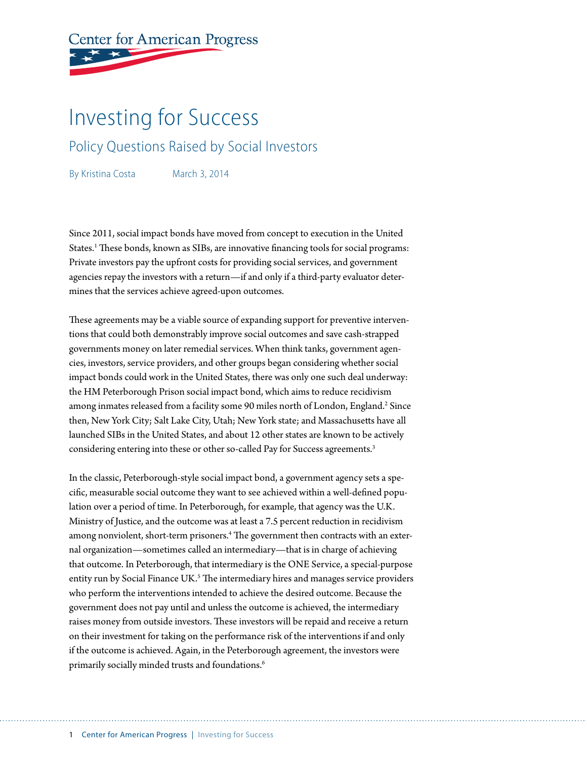# **Center for American Progress**

## Investing for Success

Policy Questions Raised by Social Investors

By Kristina Costa March 3, 2014

Since 2011, social impact bonds have moved from concept to execution in the United States.<sup>1</sup> These bonds, known as SIBs, are innovative financing tools for social programs: Private investors pay the upfront costs for providing social services, and government agencies repay the investors with a return—if and only if a third-party evaluator determines that the services achieve agreed-upon outcomes.

These agreements may be a viable source of expanding support for preventive interventions that could both demonstrably improve social outcomes and save cash-strapped governments money on later remedial services. When think tanks, government agencies, investors, service providers, and other groups began considering whether social impact bonds could work in the United States, there was only one such deal underway: the HM Peterborough Prison social impact bond, which aims to reduce recidivism among inmates released from a facility some 90 miles north of London, England.<sup>2</sup> Since then, New York City; Salt Lake City, Utah; New York state; and Massachusetts have all launched SIBs in the United States, and about 12 other states are known to be actively considering entering into these or other so-called Pay for Success agreements.<sup>3</sup>

In the classic, Peterborough-style social impact bond, a government agency sets a specific, measurable social outcome they want to see achieved within a well-defined population over a period of time. In Peterborough, for example, that agency was the U.K. Ministry of Justice, and the outcome was at least a 7.5 percent reduction in recidivism among nonviolent, short-term prisoners.4 The government then contracts with an external organization—sometimes called an intermediary—that is in charge of achieving that outcome. In Peterborough, that intermediary is the ONE Service, a special-purpose entity run by Social Finance UK.<sup>5</sup> The intermediary hires and manages service providers who perform the interventions intended to achieve the desired outcome. Because the government does not pay until and unless the outcome is achieved, the intermediary raises money from outside investors. These investors will be repaid and receive a return on their investment for taking on the performance risk of the interventions if and only if the outcome is achieved. Again, in the Peterborough agreement, the investors were primarily socially minded trusts and foundations.<sup>6</sup>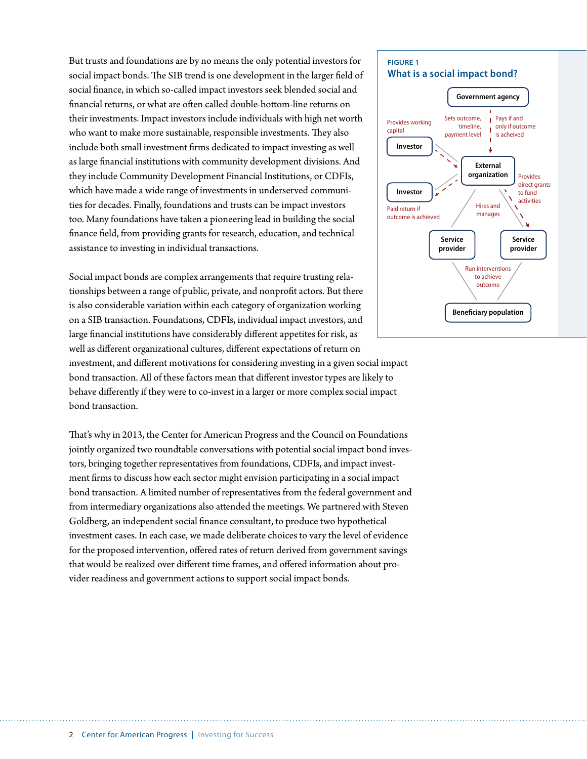But trusts and foundations are by no means the only potential investors for social impact bonds. The SIB trend is one development in the larger field of social finance, in which so-called impact investors seek blended social and financial returns, or what are often called double-bottom-line returns on their investments. Impact investors include individuals with high net worth who want to make more sustainable, responsible investments. They also include both small investment firms dedicated to impact investing as well as large financial institutions with community development divisions. And they include Community Development Financial Institutions, or CDFIs, which have made a wide range of investments in underserved communities for decades. Finally, foundations and trusts can be impact investors too. Many foundations have taken a pioneering lead in building the social finance field, from providing grants for research, education, and technical assistance to investing in individual transactions.

Social impact bonds are complex arrangements that require trusting relationships between a range of public, private, and nonprofit actors. But there is also considerable variation within each category of organization working on a SIB transaction. Foundations, CDFIs, individual impact investors, and large financial institutions have considerably different appetites for risk, as well as different organizational cultures, different expectations of return on investment, and different motivations for considering investing in a given social impact bond transaction. All of these factors mean that different investor types are likely to behave differently if they were to co-invest in a larger or more complex social impact bond transaction.

That's why in 2013, the Center for American Progress and the Council on Foundations jointly organized two roundtable conversations with potential social impact bond investors, bringing together representatives from foundations, CDFIs, and impact investment firms to discuss how each sector might envision participating in a social impact bond transaction. A limited number of representatives from the federal government and from intermediary organizations also attended the meetings. We partnered with Steven Goldberg, an independent social finance consultant, to produce two hypothetical investment cases. In each case, we made deliberate choices to vary the level of evidence for the proposed intervention, offered rates of return derived from government savings that would be realized over different time frames, and offered information about provider readiness and government actions to support social impact bonds.

#### **FIGURE 1 What is a social impact bond?**

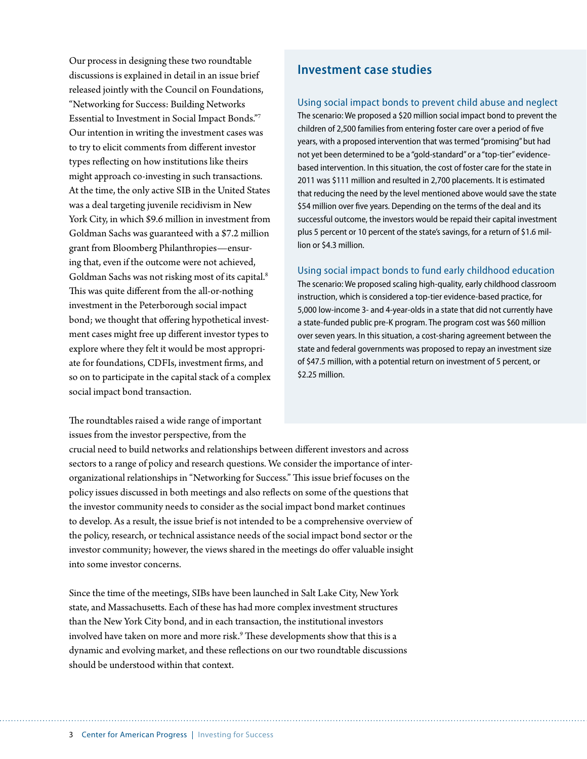Our process in designing these two roundtable discussions is explained in detail in an issue brief released jointly with the Council on Foundations, "Networking for Success: Building Networks Essential to Investment in Social Impact Bonds."7 Our intention in writing the investment cases was to try to elicit comments from different investor types reflecting on how institutions like theirs might approach co-investing in such transactions. At the time, the only active SIB in the United States was a deal targeting juvenile recidivism in New York City, in which \$9.6 million in investment from Goldman Sachs was guaranteed with a \$7.2 million grant from Bloomberg Philanthropies—ensuring that, even if the outcome were not achieved, Goldman Sachs was not risking most of its capital.<sup>8</sup> This was quite different from the all-or-nothing investment in the Peterborough social impact bond; we thought that offering hypothetical investment cases might free up different investor types to explore where they felt it would be most appropriate for foundations, CDFIs, investment firms, and so on to participate in the capital stack of a complex social impact bond transaction.

**Investment case studies**

#### Using social impact bonds to prevent child abuse and neglect

The scenario: We proposed a \$20 million social impact bond to prevent the children of 2,500 families from entering foster care over a period of five years, with a proposed intervention that was termed "promising" but had not yet been determined to be a "gold-standard" or a "top-tier" evidencebased intervention. In this situation, the cost of foster care for the state in 2011 was \$111 million and resulted in 2,700 placements. It is estimated that reducing the need by the level mentioned above would save the state \$54 million over five years. Depending on the terms of the deal and its successful outcome, the investors would be repaid their capital investment plus 5 percent or 10 percent of the state's savings, for a return of \$1.6 million or \$4.3 million.

#### Using social impact bonds to fund early childhood education

The scenario: We proposed scaling high-quality, early childhood classroom instruction, which is considered a top-tier evidence-based practice, for 5,000 low-income 3- and 4-year-olds in a state that did not currently have a state-funded public pre-K program. The program cost was \$60 million over seven years. In this situation, a cost-sharing agreement between the state and federal governments was proposed to repay an investment size of \$47.5 million, with a potential return on investment of 5 percent, or \$2.25 million.

The roundtables raised a wide range of important issues from the investor perspective, from the

crucial need to build networks and relationships between different investors and across sectors to a range of policy and research questions. We consider the importance of interorganizational relationships in "Networking for Success." This issue brief focuses on the policy issues discussed in both meetings and also reflects on some of the questions that the investor community needs to consider as the social impact bond market continues to develop. As a result, the issue brief is not intended to be a comprehensive overview of the policy, research, or technical assistance needs of the social impact bond sector or the investor community; however, the views shared in the meetings do offer valuable insight into some investor concerns.

Since the time of the meetings, SIBs have been launched in Salt Lake City, New York state, and Massachusetts. Each of these has had more complex investment structures than the New York City bond, and in each transaction, the institutional investors involved have taken on more and more risk.<sup>9</sup> These developments show that this is a dynamic and evolving market, and these reflections on our two roundtable discussions should be understood within that context.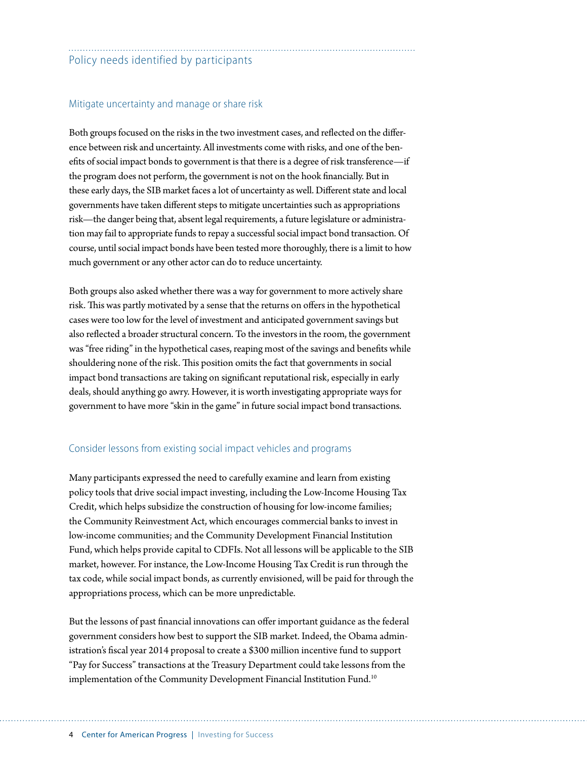### Policy needs identified by participants

#### Mitigate uncertainty and manage or share risk

Both groups focused on the risks in the two investment cases, and reflected on the difference between risk and uncertainty. All investments come with risks, and one of the benefits of social impact bonds to government is that there is a degree of risk transference—if the program does not perform, the government is not on the hook financially. But in these early days, the SIB market faces a lot of uncertainty as well. Different state and local governments have taken different steps to mitigate uncertainties such as appropriations risk—the danger being that, absent legal requirements, a future legislature or administration may fail to appropriate funds to repay a successful social impact bond transaction. Of course, until social impact bonds have been tested more thoroughly, there is a limit to how much government or any other actor can do to reduce uncertainty.

Both groups also asked whether there was a way for government to more actively share risk. This was partly motivated by a sense that the returns on offers in the hypothetical cases were too low for the level of investment and anticipated government savings but also reflected a broader structural concern. To the investors in the room, the government was "free riding" in the hypothetical cases, reaping most of the savings and benefits while shouldering none of the risk. This position omits the fact that governments in social impact bond transactions are taking on significant reputational risk, especially in early deals, should anything go awry. However, it is worth investigating appropriate ways for government to have more "skin in the game" in future social impact bond transactions.

#### Consider lessons from existing social impact vehicles and programs

Many participants expressed the need to carefully examine and learn from existing policy tools that drive social impact investing, including the Low-Income Housing Tax Credit, which helps subsidize the construction of housing for low-income families; the Community Reinvestment Act, which encourages commercial banks to invest in low-income communities; and the Community Development Financial Institution Fund, which helps provide capital to CDFIs. Not all lessons will be applicable to the SIB market, however. For instance, the Low-Income Housing Tax Credit is run through the tax code, while social impact bonds, as currently envisioned, will be paid for through the appropriations process, which can be more unpredictable.

But the lessons of past financial innovations can offer important guidance as the federal government considers how best to support the SIB market. Indeed, the Obama administration's fiscal year 2014 proposal to create a \$300 million incentive fund to support "Pay for Success" transactions at the Treasury Department could take lessons from the implementation of the Community Development Financial Institution Fund.10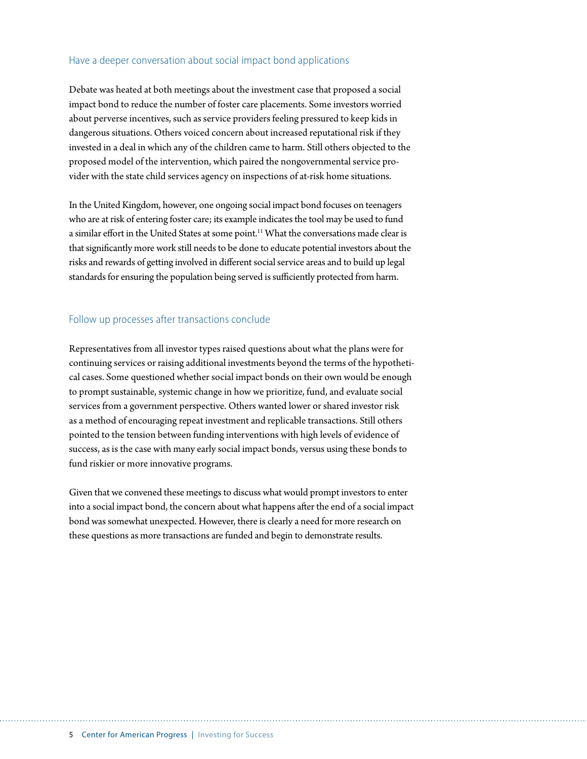#### Have a deeper conversation about social impact bond applications

Debate was heated at both meetings about the investment case that proposed a social impact bond to reduce the number of foster care placements. Some investors worried about perverse incentives, such as service providers feeling pressured to keep kids in dangerous situations. Others voiced concern about increased reputational risk if they invested in a deal in which any of the children came to harm. Still others objected to the proposed model of the intervention, which paired the nongovernmental service provider with the state child services agency on inspections of at-risk home situations.

In the United Kingdom, however, one ongoing social impact bond focuses on teenagers who are at risk of entering foster care; its example indicates the tool may be used to fund a similar effort in the United States at some point.<sup>11</sup> What the conversations made clear is that significantly more work still needs to be done to educate potential investors about the risks and rewards of getting involved in different social service areas and to build up legal standards for ensuring the population being served is sufficiently protected from harm.

#### Follow up processes after transactions conclude

Representatives from all investor types raised questions about what the plans were for continuing services or raising additional investments beyond the terms of the hypothetical cases. Some questioned whether social impact bonds on their own would be enough to prompt sustainable, systemic change in how we prioritize, fund, and evaluate social services from a government perspective. Others wanted lower or shared investor risk as a method of encouraging repeat investment and replicable transactions. Still others pointed to the tension between funding interventions with high levels of evidence of success, as is the case with many early social impact bonds, versus using these bonds to fund riskier or more innovative programs.

Given that we convened these meetings to discuss what would prompt investors to enter into a social impact bond, the concern about what happens after the end of a social impact bond was somewhat unexpected. However, there is clearly a need for more research on these questions as more transactions are funded and begin to demonstrate results.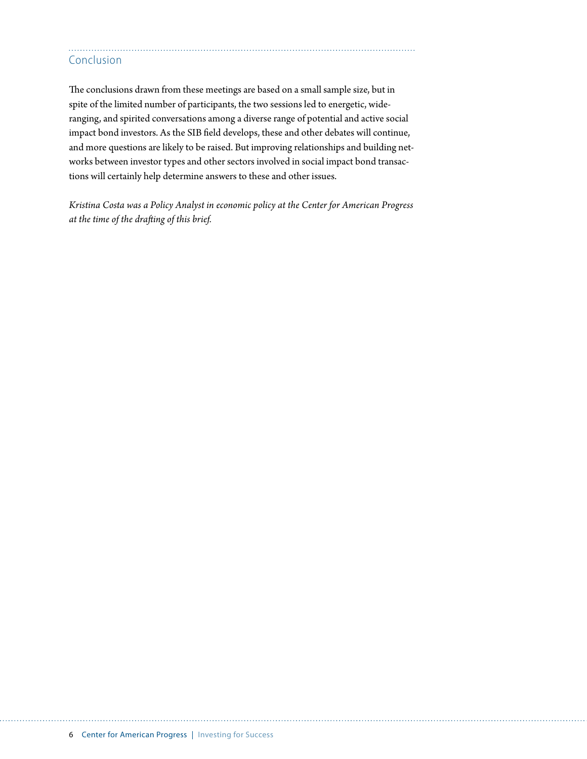### Conclusion

The conclusions drawn from these meetings are based on a small sample size, but in spite of the limited number of participants, the two sessions led to energetic, wideranging, and spirited conversations among a diverse range of potential and active social impact bond investors. As the SIB field develops, these and other debates will continue, and more questions are likely to be raised. But improving relationships and building networks between investor types and other sectors involved in social impact bond transactions will certainly help determine answers to these and other issues.

*Kristina Costa was a Policy Analyst in economic policy at the Center for American Progress at the time of the drafting of this brief.*